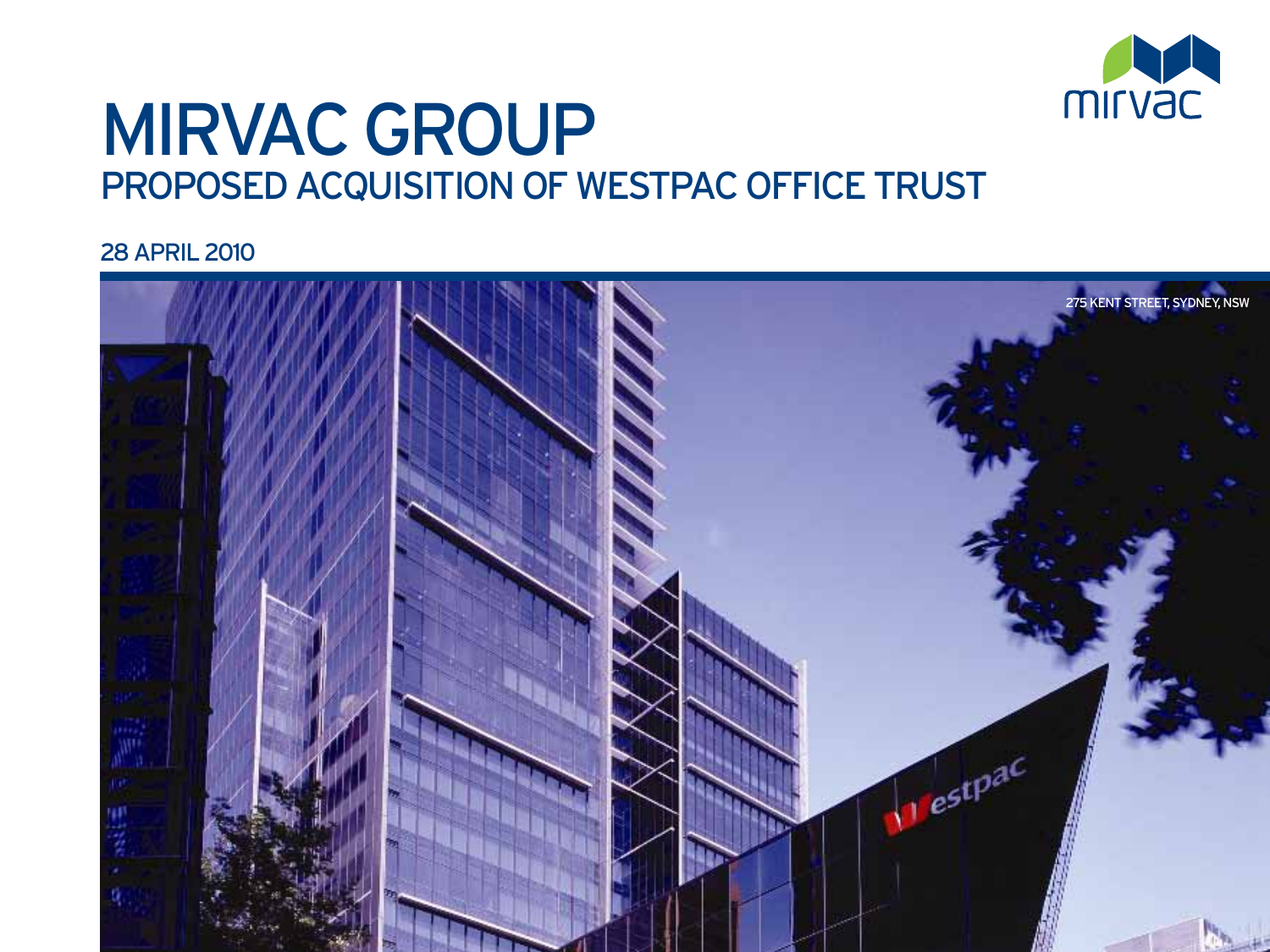

## Mirvac Group PROPOSED ACQUISITION OF WESTPAC OFFICE TRUST

28 April 2010

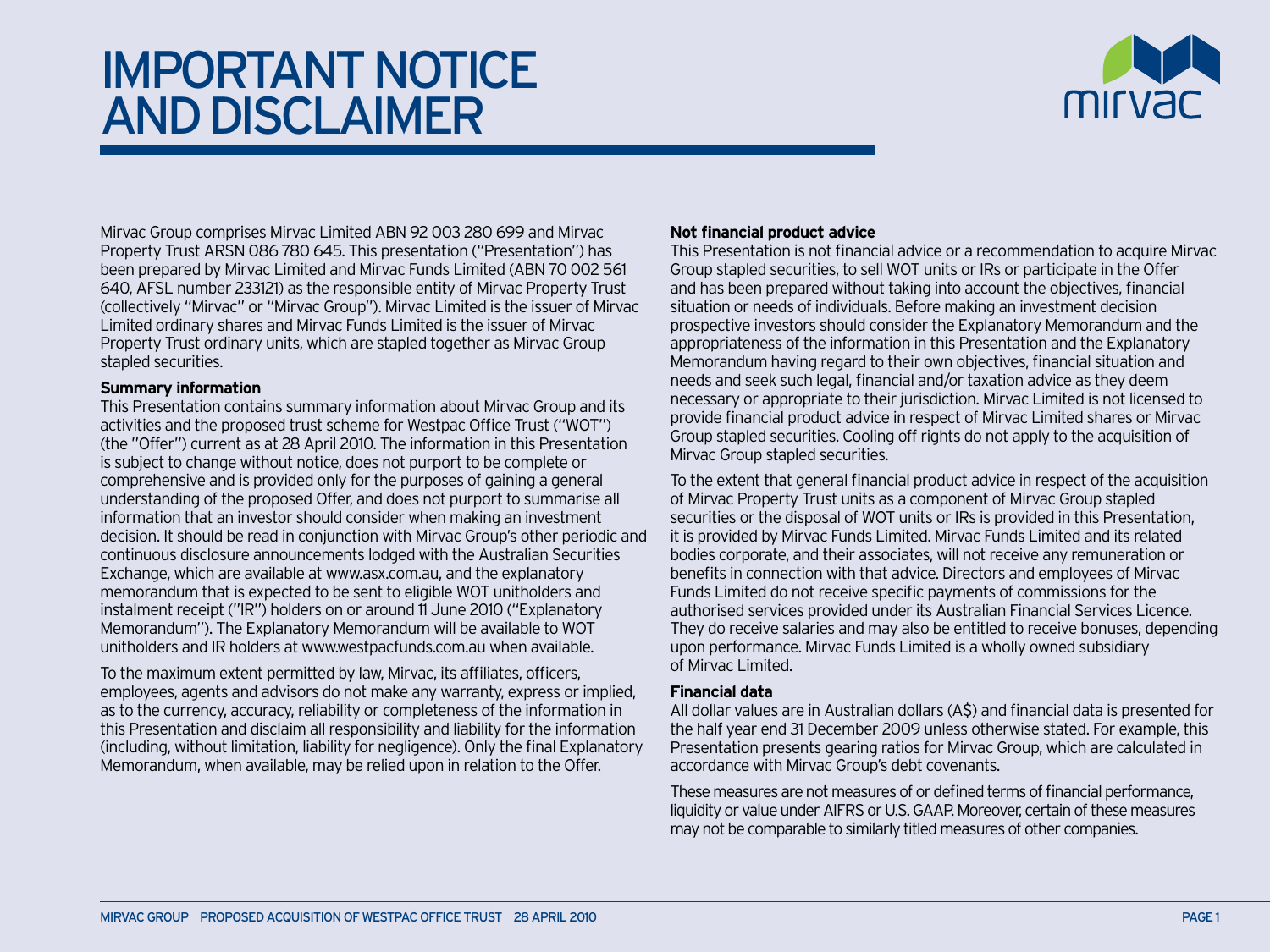## Important Notice and Disclaimer



Mirvac Group comprises Mirvac Limited ABN 92 003 280 699 and Mirvac Property Trust ARSN 086 780 645. This presentation ("Presentation") has been prepared by Mirvac Limited and Mirvac Funds Limited (ABN 70 002 561 640, AFSL number 233121) as the responsible entity of Mirvac Property Trust (collectively "Mirvac" or "Mirvac Group"). Mirvac Limited is the issuer of Mirvac Limited ordinary shares and Mirvac Funds Limited is the issuer of Mirvac Property Trust ordinary units, which are stapled together as Mirvac Group stapled securities.

#### **Summary information**

This Presentation contains summary information about Mirvac Group and its activities and the proposed trust scheme for Westpac Office Trust ("WOT") (the "Offer") current as at 28 April 2010. The information in this Presentation is subject to change without notice, does not purport to be complete or comprehensive and is provided only for the purposes of gaining a general understanding of the proposed Offer, and does not purport to summarise all information that an investor should consider when making an investment decision. It should be read in conjunction with Mirvac Group's other periodic and continuous disclosure announcements lodged with the Australian Securities Exchange, which are available at www.asx.com.au, and the explanatory memorandum that is expected to be sent to eligible WOT unitholders and instalment receipt ("IR") holders on or around 11 June 2010 ("Explanatory Memorandum"). The Explanatory Memorandum will be available to WOT unitholders and IR holders at www.westpacfunds.com.au when available.

To the maximum extent permitted by law, Mirvac, its affiliates, officers, employees, agents and advisors do not make any warranty, express or implied, as to the currency, accuracy, reliability or completeness of the information in this Presentation and disclaim all responsibility and liability for the information (including, without limitation, liability for negligence). Only the final Explanatory Memorandum, when available, may be relied upon in relation to the Offer.

#### **Not financial product advice**

This Presentation is not financial advice or a recommendation to acquire Mirvac Group stapled securities, to sell WOT units or IRs or participate in the Offer and has been prepared without taking into account the objectives, financial situation or needs of individuals. Before making an investment decision prospective investors should consider the Explanatory Memorandum and the appropriateness of the information in this Presentation and the Explanatory Memorandum having regard to their own objectives, financial situation and needs and seek such legal, financial and/or taxation advice as they deem necessary or appropriate to their jurisdiction. Mirvac Limited is not licensed to provide financial product advice in respect of Mirvac Limited shares or Mirvac Group stapled securities. Cooling off rights do not apply to the acquisition of Mirvac Group stapled securities.

To the extent that general financial product advice in respect of the acquisition of Mirvac Property Trust units as a component of Mirvac Group stapled securities or the disposal of WOT units or IRs is provided in this Presentation, it is provided by Mirvac Funds Limited. Mirvac Funds Limited and its related bodies corporate, and their associates, will not receive any remuneration or benefits in connection with that advice. Directors and employees of Mirvac Funds Limited do not receive specific payments of commissions for the authorised services provided under its Australian Financial Services Licence. They do receive salaries and may also be entitled to receive bonuses, depending upon performance. Mirvac Funds Limited is a wholly owned subsidiary of Mirvac Limited.

#### **Financial data**

All dollar values are in Australian dollars (A\$) and financial data is presented for the half year end 31 December 2009 unless otherwise stated. For example, this Presentation presents gearing ratios for Mirvac Group, which are calculated in accordance with Mirvac Group's debt covenants.

These measures are not measures of or defined terms of financial performance, liquidity or value under AIFRS or U.S. GAAP. Moreover, certain of these measures may not be comparable to similarly titled measures of other companies.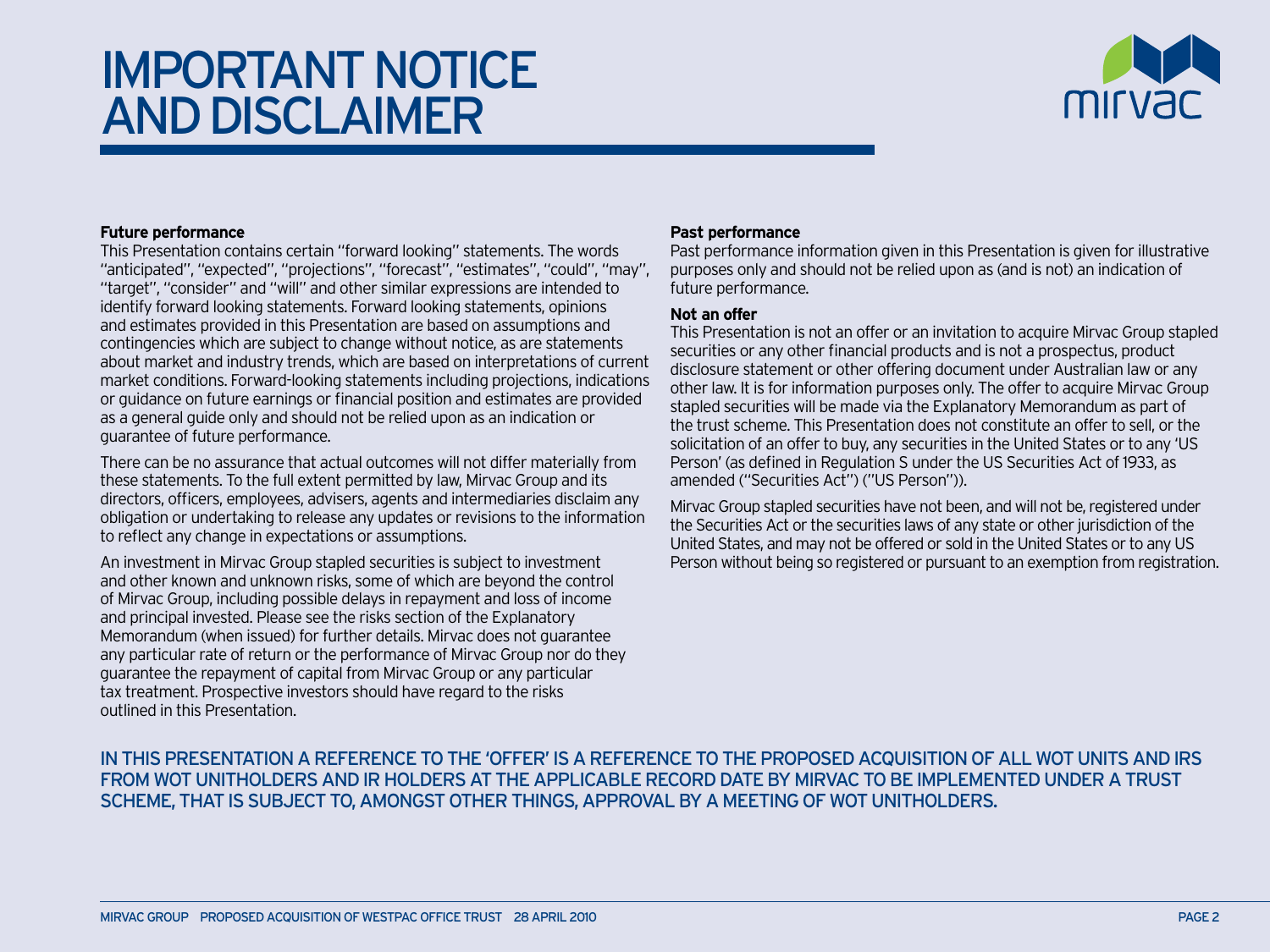## Important Notice and Disclaimer



#### **Future performance**

This Presentation contains certain "forward looking" statements. The words "anticipated", "expected", "projections", "forecast", "estimates", "could", "may", "target", "consider" and "will" and other similar expressions are intended to identify forward looking statements. Forward looking statements, opinions and estimates provided in this Presentation are based on assumptions and contingencies which are subject to change without notice, as are statements about market and industry trends, which are based on interpretations of current market conditions. Forward-looking statements including projections, indications or guidance on future earnings or financial position and estimates are provided as a general guide only and should not be relied upon as an indication or guarantee of future performance.

There can be no assurance that actual outcomes will not differ materially from these statements. To the full extent permitted by law, Mirvac Group and its directors, officers, employees, advisers, agents and intermediaries disclaim any obligation or undertaking to release any updates or revisions to the information to reflect any change in expectations or assumptions.

An investment in Mirvac Group stapled securities is subject to investment and other known and unknown risks, some of which are beyond the control of Mirvac Group, including possible delays in repayment and loss of income and principal invested. Please see the risks section of the Explanatory Memorandum (when issued) for further details. Mirvac does not guarantee any particular rate of return or the performance of Mirvac Group nor do they guarantee the repayment of capital from Mirvac Group or any particular tax treatment. Prospective investors should have regard to the risks outlined in this Presentation.

#### **Past performance**

Past performance information given in this Presentation is given for illustrative purposes only and should not be relied upon as (and is not) an indication of future performance.

#### **Not an offer**

This Presentation is not an offer or an invitation to acquire Mirvac Group stapled securities or any other financial products and is not a prospectus, product disclosure statement or other offering document under Australian law or any other law. It is for information purposes only. The offer to acquire Mirvac Group stapled securities will be made via the Explanatory Memorandum as part of the trust scheme. This Presentation does not constitute an offer to sell, or the solicitation of an offer to buy, any securities in the United States or to any 'US Person' (as defined in Regulation S under the US Securities Act of 1933, as amended ("Securities Act") ("US Person")).

Mirvac Group stapled securities have not been, and will not be, registered under the Securities Act or the securities laws of any state or other jurisdiction of the United States, and may not be offered or sold in the United States or to any US Person without being so registered or pursuant to an exemption from registration.

In This Presentation A Reference To the 'Offer' Is A Reference To The Proposed Acquisition Of All Wot Units and irs From Wot Unitholders and IR holders At The Applicable Record Date By Mirvac To Be Implemented Under A Trust Scheme, That Is Subject To, Amongst Other Things, Approval By A Meeting Of Wot Unitholders.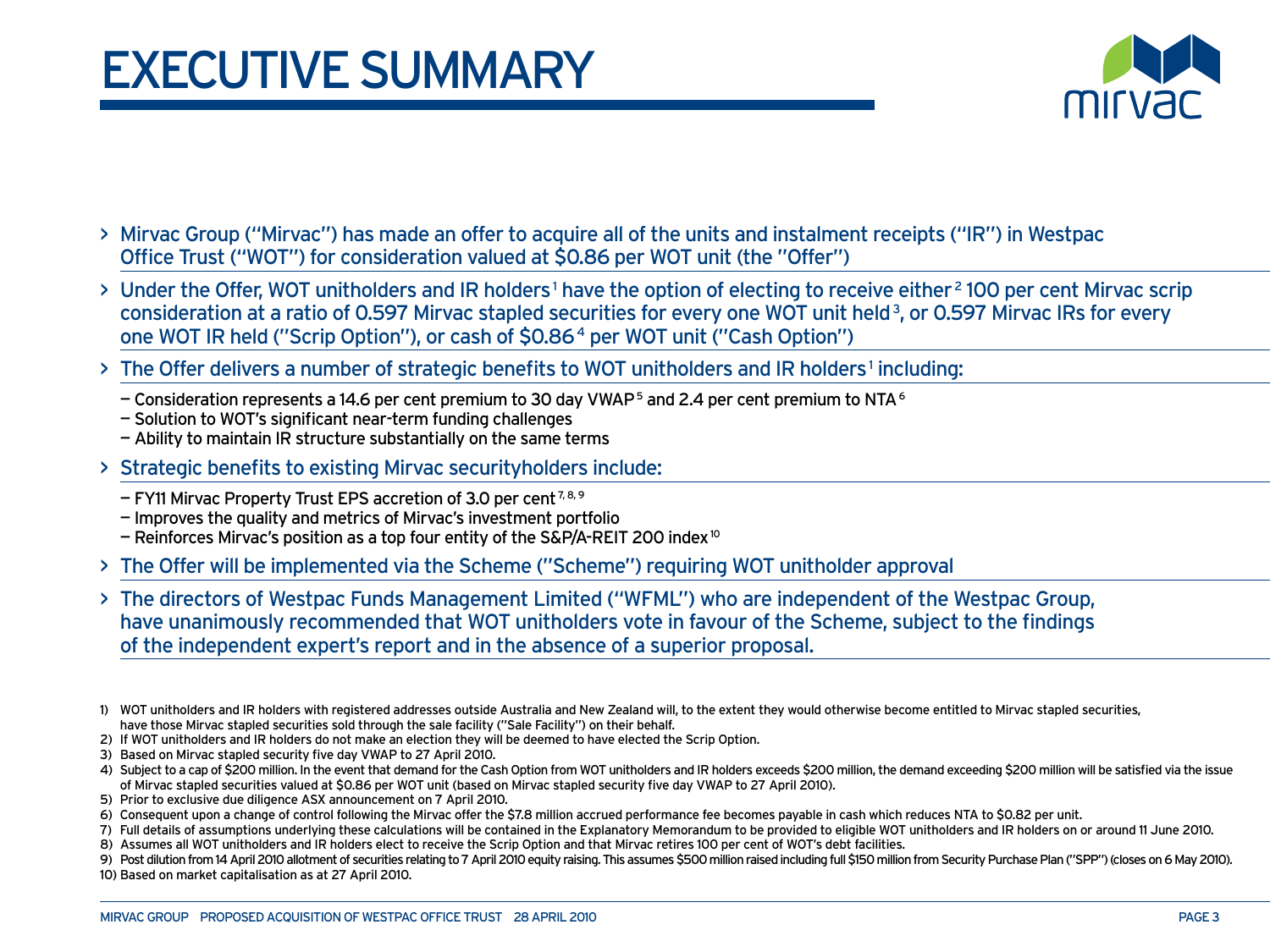## **EXECUTIVE SUMMARY**



- > Mirvac Group ("Mirvac") has made an offer to acquire all of the units and instalment receipts ("IR") in Westpac Office Trust ("WOT") for consideration valued at \$0.86 per WOT unit (the "Offer")
- > Under the Offer, WOT unitholders and IR holders<sup>1</sup> have the option of electing to receive either <sup>2</sup> 100 per cent Mirvac scrip consideration at a ratio of 0.597 Mirvac stapled securities for every one WOT unit held 3, or 0.597 Mirvac IRs for every one WOT IR held ("Scrip Option"), or cash of \$0.86 4 per WOT unit ("Cash Option")
- > The Offer delivers a number of strategic benefits to WOT unitholders and IR holders<sup>1</sup> including:
	- Consideration represents a 14.6 per cent premium to 30 day VWAP<sup>5</sup> and 2.4 per cent premium to NTA<sup>6</sup>
	- Solution to WOT's significant near-term funding challenges
	- Ability to maintain IR structure substantially on the same terms
- > Strategic benefits to existing Mirvac securityholders include:
	- $-$  FY11 Mirvac Property Trust EPS accretion of 3.0 per cent<sup>7,8,9</sup>
	- Improves the quality and metrics of Mirvac's investment portfolio
	- Reinforces Mirvac's position as a top four entity of the S&P/A-REIT 200 index 10
- > The Offer will be implemented via the Scheme ("Scheme") requiring WOT unitholder approval
- > The directors of Westpac Funds Management Limited ("WFML") who are independent of the Westpac Group, have unanimously recommended that WOT unitholders vote in favour of the Scheme, subject to the findings of the independent expert's report and in the absence of a superior proposal.

- 2) If WOT unitholders and IR holders do not make an election they will be deemed to have elected the Scrip Option.
- 3) Based on Mirvac stapled security five day VWAP to 27 April 2010.
- 4) Subject to a cap of \$200 million. In the event that demand for the Cash Option from WOT unitholders and IR holders exceeds \$200 million, the demand exceeding \$200 million will be satisfied via the issue of Mirvac stapled securities valued at \$0.86 per WOT unit (based on Mirvac stapled security five day VWAP to 27 April 2010).
- 5) Prior to exclusive due diligence ASX announcement on 7 April 2010.
- 6) Consequent upon a change of control following the Mirvac offer the \$7.8 million accrued performance fee becomes payable in cash which reduces NTA to \$0.82 per unit.
- 7) Full details of assumptions underlying these calculations will be contained in the Explanatory Memorandum to be provided to eligible WOT unitholders and IR holders on or around 11 June 2010. 8) Assumes all WOT unitholders and IR holders elect to receive the Scrip Option and that Mirvac retires 100 per cent of WOT's debt facilities.
- 9) Post dilution from 14 April 2010 allotment of securities relating to 7 April 2010 equity raising. This assumes \$500 million raised including full \$150 million from Security Purchase Plan ("SPP") (closes on 6 May 2010). 10) Based on market capitalisation as at 27 April 2010.

<sup>1)</sup> WOT unitholders and IR holders with registered addresses outside Australia and New Zealand will, to the extent they would otherwise become entitled to Mirvac stapled securities, have those Mirvac stapled securities sold through the sale facility ("Sale Facility") on their behalf.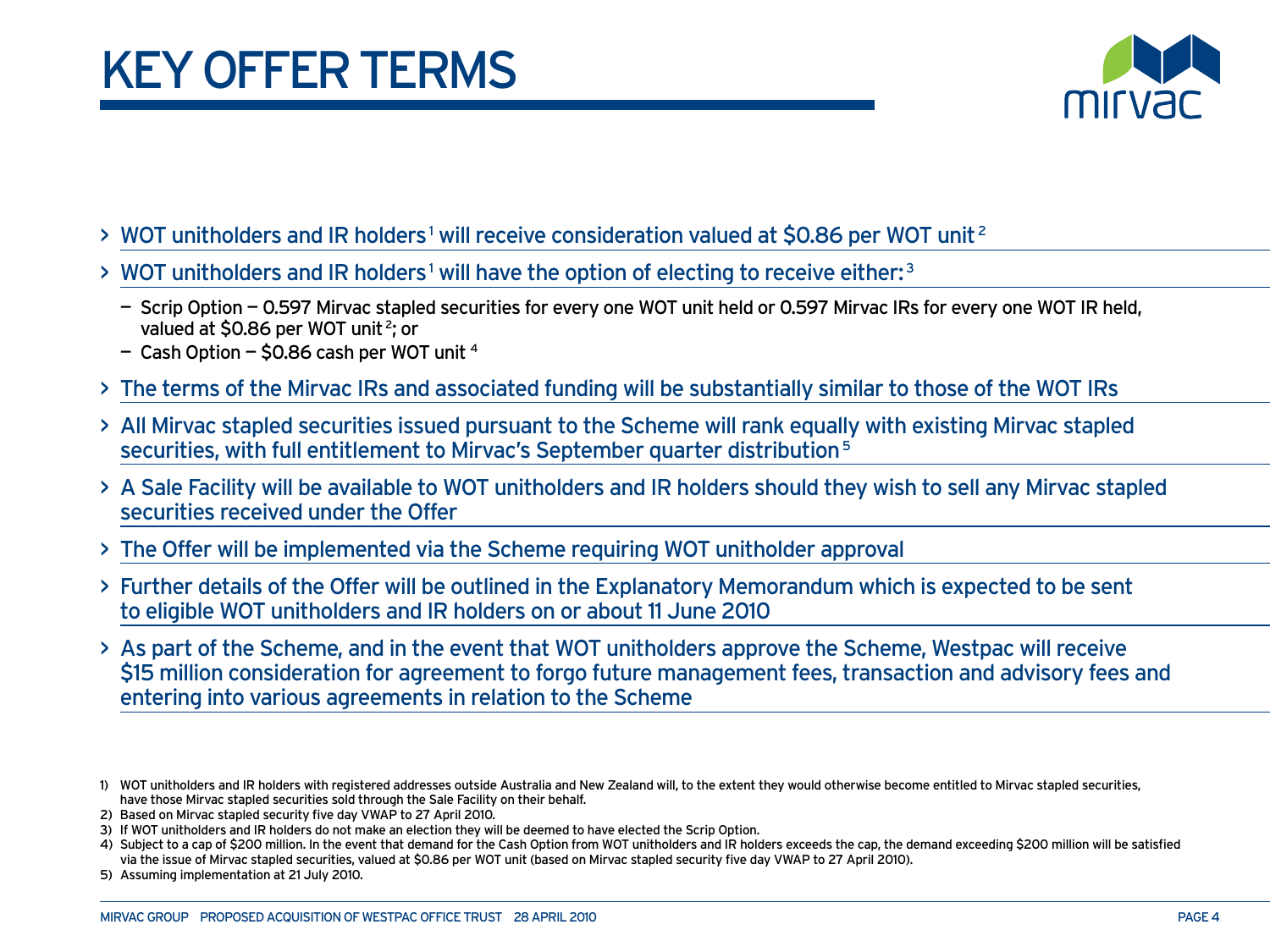

- $>$  WOT unitholders and IR holders<sup>1</sup> will receive consideration valued at \$0.86 per WOT unit<sup>2</sup>
- > WOT unitholders and IR holders<sup>1</sup> will have the option of electing to receive either:<sup>3</sup>
	- Scrip Option 0.597 Mirvac stapled securities for every one WOT unit held or 0.597 Mirvac IRs for every one WOT IR held, valued at \$0.86 per WOT unit<sup>2</sup>; or
	- $-$  Cash Option  $-$  \$0.86 cash per WOT unit  $4$
- > The terms of the Mirvac IRs and associated funding will be substantially similar to those of the WOT IRs
- > All Mirvac stapled securities issued pursuant to the Scheme will rank equally with existing Mirvac stapled securities, with full entitlement to Mirvac's September quarter distribution<sup>5</sup>
- > A Sale Facility will be available to WOT unitholders and IR holders should they wish to sell any Mirvac stapled securities received under the Offer
- > The Offer will be implemented via the Scheme requiring WOT unitholder approval
- > Further details of the Offer will be outlined in the Explanatory Memorandum which is expected to be sent to eligible WOT unitholders and IR holders on or about 11 June 2010
- > As part of the Scheme, and in the event that WOT unitholders approve the Scheme, Westpac will receive \$15 million consideration for agreement to forgo future management fees, transaction and advisory fees and entering into various agreements in relation to the Scheme

<sup>1)</sup> WOT unitholders and IR holders with registered addresses outside Australia and New Zealand will, to the extent they would otherwise become entitled to Mirvac stapled securities, have those Mirvac stapled securities sold through the Sale Facility on their behalf.

<sup>2)</sup> Based on Mirvac stapled security five day VWAP to 27 April 2010.

<sup>3)</sup> If WOT unitholders and IR holders do not make an election they will be deemed to have elected the Scrip Option.

<sup>4)</sup> Subject to a cap of \$200 million. In the event that demand for the Cash Option from WOT unitholders and IR holders exceeds the cap, the demand exceeding \$200 million will be satisfied via the issue of Mirvac stapled securities, valued at \$0.86 per WOT unit (based on Mirvac stapled security five day VWAP to 27 April 2010).

<sup>5)</sup> Assuming implementation at 21 July 2010.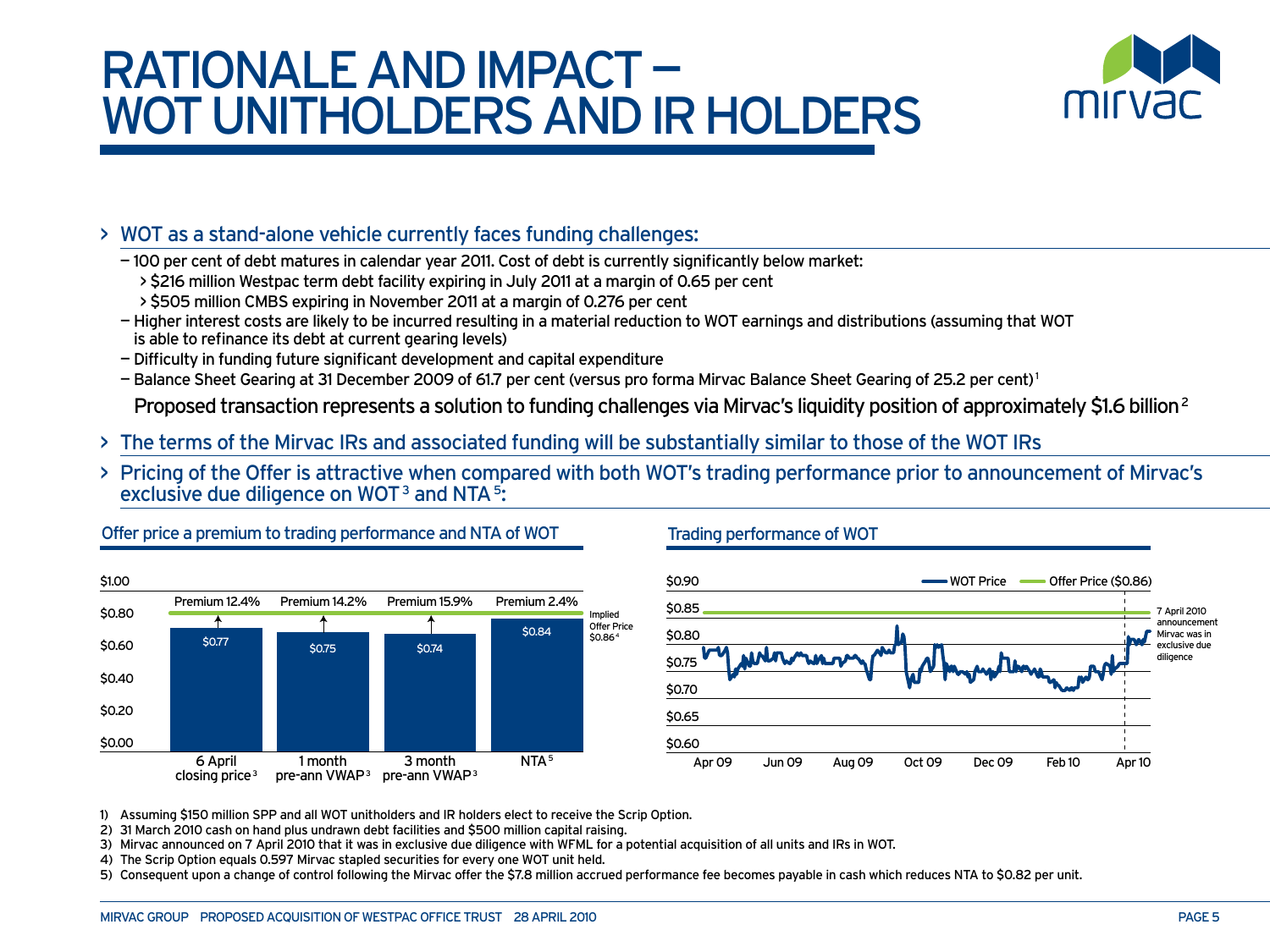## RATIONALE and impact — WOT UNITHOLDERS AND IR HOLDERS



#### > WOT as a stand-alone vehicle currently faces funding challenges:

— 100 per cent of debt matures in calendar year 2011. Cost of debt is currently significantly below market:

- > \$216 million Westpac term debt facility expiring in July 2011 at a margin of 0.65 per cent
- > \$505 million CMBS expiring in November 2011 at a margin of 0.276 per cent
- Higher interest costs are likely to be incurred resulting in a material reduction to WOT earnings and distributions (assuming that WOT is able to refinance its debt at current gearing levels)
- Difficulty in funding future significant development and capital expenditure
- Balance Sheet Gearing at 31 December 2009 of 61.7 per cent (versus pro forma Mirvac Balance Sheet Gearing of 25.2 per cent) 1

Proposed transaction represents a solution to funding challenges via Mirvac's liquidity position of approximately \$1.6 billion<sup>2</sup>

- > The terms of the Mirvac IRs and associated funding will be substantially similar to those of the WOT IRs
- > Pricing of the Offer is attractive when compared with both WOT's trading performance prior to announcement of Mirvac's exclusive due diligence on WOT<sup>3</sup> and NTA  $\frac{5}{2}$ :



Offer price a premium to trading performance and NTA of WOT

#### Trading performance of WOT



1) Assuming \$150 million SPP and all WOT unitholders and IR holders elect to receive the Scrip Option.

2) 31 March 2010 cash on hand plus undrawn debt facilities and \$500 million capital raising.

3) Mirvac announced on 7 April 2010 that it was in exclusive due diligence with WFML for a potential acquisition of all units and IRs in WOT.

4) The Scrip Option equals 0.597 Mirvac stapled securities for every one WOT unit held.

5) Consequent upon a change of control following the Mirvac offer the \$7.8 million accrued performance fee becomes payable in cash which reduces NTA to \$0.82 per unit.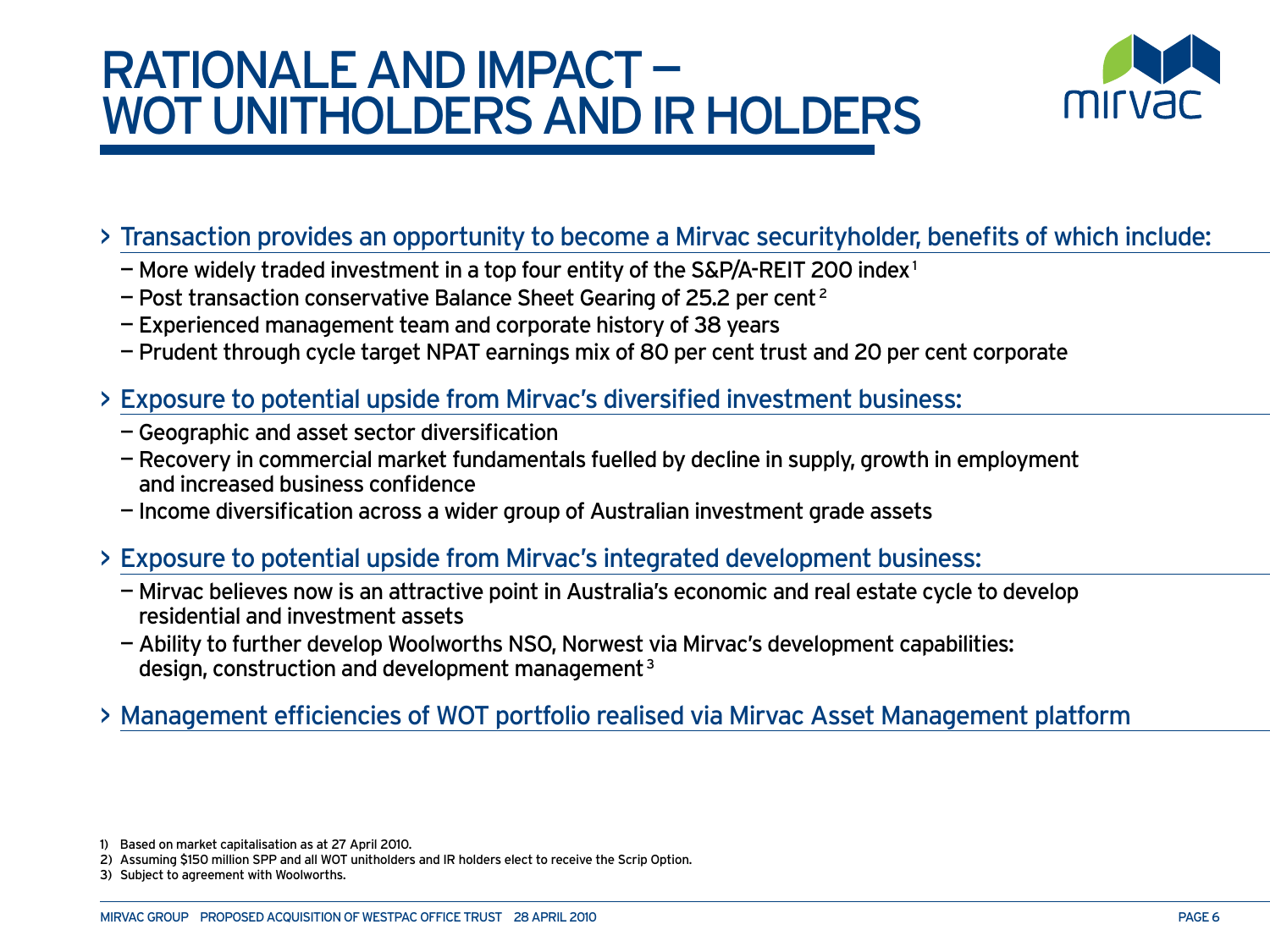## RATIONALE and impact — WOT UNITHOLDERS AND IR HOLDERS



### > Transaction provides an opportunity to become a Mirvac securityholder, benefits of which include:

- $-$  More widely traded investment in a top four entity of the S&P/A-REIT 200 index<sup>1</sup>
- Post transaction conservative Balance Sheet Gearing of 25.2 per cent 2
- Experienced management team and corporate history of 38 years
- Prudent through cycle target NPAT earnings mix of 80 per cent trust and 20 per cent corporate
- > Exposure to potential upside from Mirvac's diversified investment business:
	- Geographic and asset sector diversification
	- Recovery in commercial market fundamentals fuelled by decline in supply, growth in employment and increased business confidence
	- Income diversification across a wider group of Australian investment grade assets

### > Exposure to potential upside from Mirvac's integrated development business:

- Mirvac believes now is an attractive point in Australia's economic and real estate cycle to develop residential and investment assets
- Ability to further develop Woolworths NSO, Norwest via Mirvac's development capabilities: design, construction and development management 3

### > Management efficiencies of WOT portfolio realised via Mirvac Asset Management platform

<sup>1)</sup> Based on market capitalisation as at 27 April 2010.

<sup>2)</sup> Assuming \$150 million SPP and all WOT unitholders and IR holders elect to receive the Scrip Option.

<sup>3)</sup> Subject to agreement with Woolworths.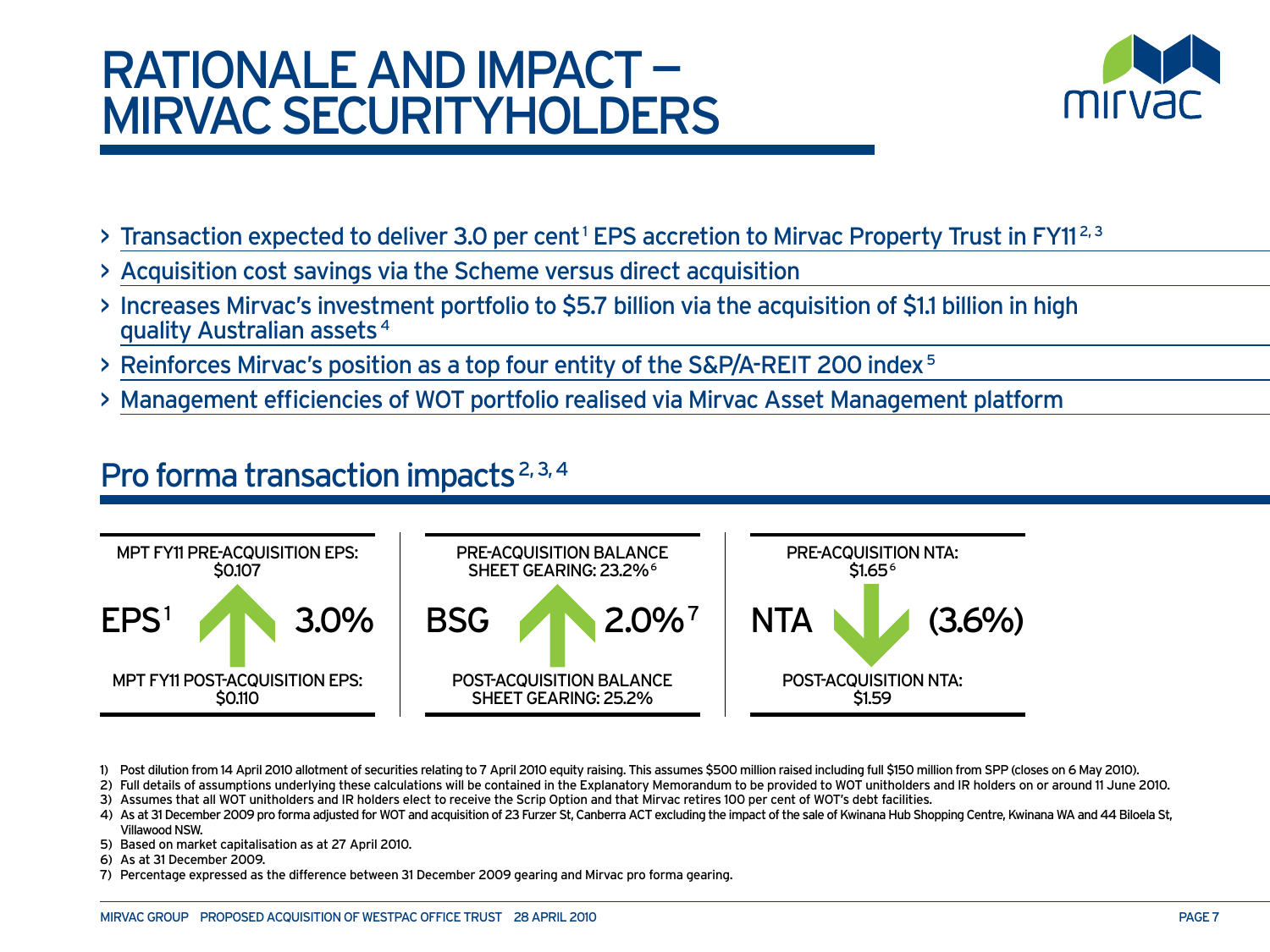## RATIONALE and impact mirvac securityholders



- > Transaction expected to deliver 3.0 per cent<sup>1</sup> EPS accretion to Mirvac Property Trust in FY11<sup>2,3</sup>
- > Acquisition cost savings via the Scheme versus direct acquisition
- > Increases Mirvac's investment portfolio to \$5.7 billion via the acquisition of \$1.1 billion in high quality Australian assets 4
- > Reinforces Mirvac's position as a top four entity of the S&P/A-REIT 200 index 5
- > Management efficiencies of WOT portfolio realised via Mirvac Asset Management platform

### Pro forma transaction impacts<sup>2, 3, 4</sup>



1) Post dilution from 14 April 2010 allotment of securities relating to 7 April 2010 equity raising. This assumes \$500 million raised including full \$150 million from SPP (closes on 6 May 2010).

- 2) Full details of assumptions underlying these calculations will be contained in the Explanatory Memorandum to be provided to WOT unitholders and IR holders on or around 11 June 2010.
- 3) Assumes that all WOT unitholders and IR holders elect to receive the Scrip Option and that Mirvac retires 100 per cent of WOT's debt facilities.
- 4) As at 31 December 2009 pro forma adjusted for WOT and acquisition of 23 Furzer St, Canberra ACT excluding the impact of the sale of Kwinana Hub Shopping Centre, Kwinana WA and 44 Biloela St, Villawood NSW.
- 5) Based on market capitalisation as at 27 April 2010.
- 6) As at 31 December 2009.
- 7) Percentage expressed as the difference between 31 December 2009 gearing and Mirvac pro forma gearing.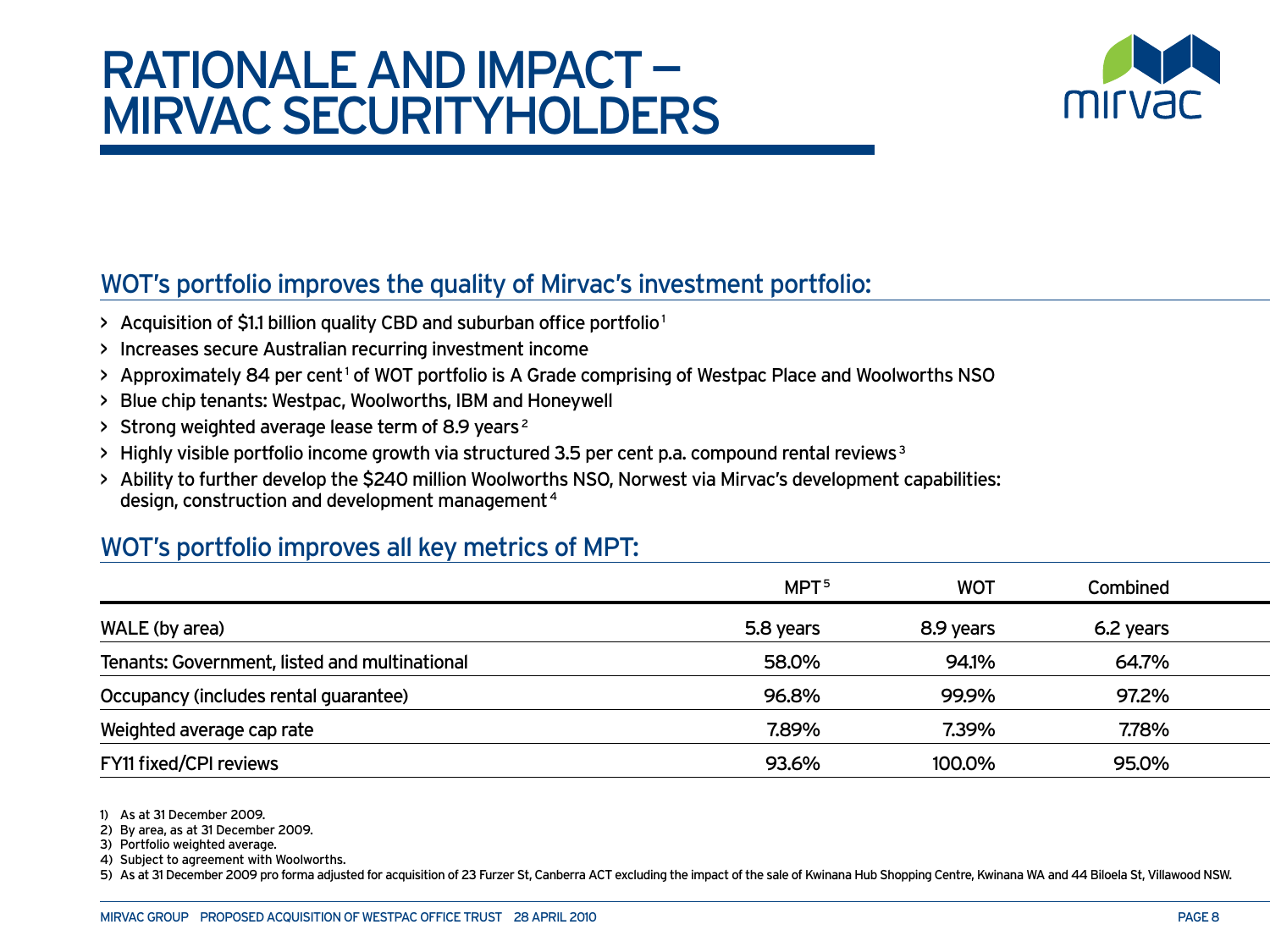## RATIONALE and impact mirvac securityholders



### WOT's portfolio improves the quality of Mirvac's investment portfolio:

- > Acquisition of \$1.1 billion quality CBD and suburban office portfolio<sup>1</sup>
- > Increases secure Australian recurring investment income
- > Approximately 84 per cent<sup>1</sup> of WOT portfolio is A Grade comprising of Westpac Place and Woolworths NSO
- > Blue chip tenants: Westpac, Woolworths, IBM and Honeywell
- > Strong weighted average lease term of 8.9 years 2
- $>$  Highly visible portfolio income growth via structured 3.5 per cent p.a. compound rental reviews  $3$
- > Ability to further develop the \$240 million Woolworths NSO, Norwest via Mirvac's development capabilities: design, construction and development management 4

### WOT's portfolio improves all key metrics of MPT:

|                                               | MPT <sup>5</sup> | <b>WOT</b> | <b>Combined</b> |  |
|-----------------------------------------------|------------------|------------|-----------------|--|
| WALE (by area)                                | 5.8 years        | 8.9 years  | 6.2 years       |  |
| Tenants: Government, listed and multinational | 58.0%            | 94.1%      | 64.7%           |  |
| Occupancy (includes rental guarantee)         | 96.8%            | 99.9%      | 97.2%           |  |
| Weighted average cap rate                     | 7.89%            | 7.39%      | 7.78%           |  |
| FY11 fixed/CPI reviews                        | 93.6%            | 100.0%     | 95.0%           |  |

1) As at 31 December 2009.

2) By area, as at 31 December 2009.

3) Portfolio weighted average.

4) Subject to agreement with Woolworths.

5) As at 31 December 2009 pro forma adjusted for acquisition of 23 Furzer St, Canberra ACT excluding the impact of the sale of Kwinana Hub Shopping Centre, Kwinana WA and 44 Biloela St, Villawood NSW.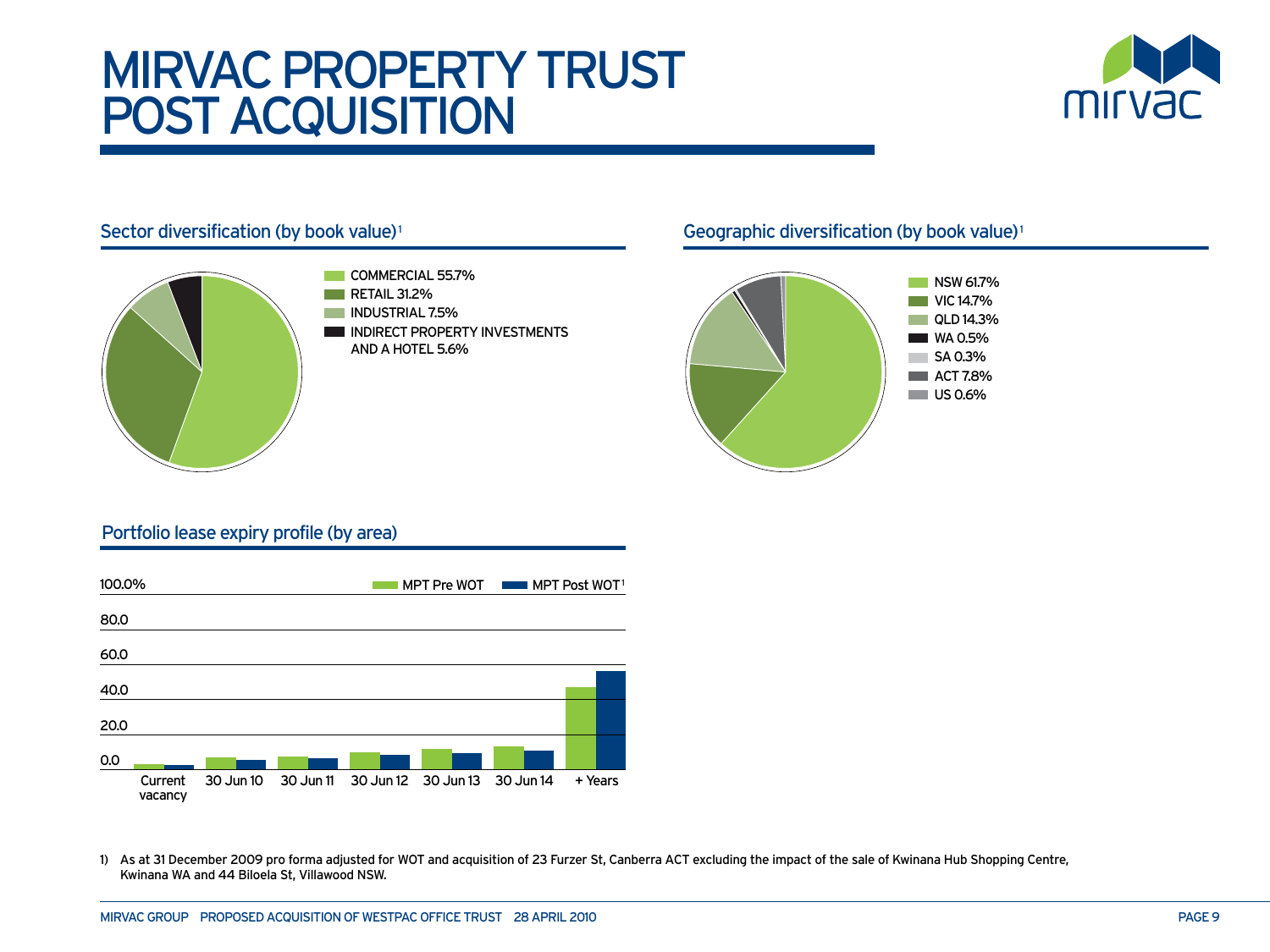## Mirvac property trust post acquisition





- COMMERCIAL 55.7% RETAIL 31.2% **INDUSTRIAL 7.5%**
- INDIRECT PROPERTY INVESTMENTS AND A HOTEL 5.6%

#### Sector diversification (by book value)<sup>1</sup> sector diversification (by book value)<sup>1</sup>



#### Portfolio lease expiry profile (by area)



1) As at 31 December 2009 pro forma adjusted for WOT and acquisition of 23 Furzer St, Canberra ACT excluding the impact of the sale of Kwinana Hub Shopping Centre, Kwinana WA and 44 Biloela St, Villawood NSW.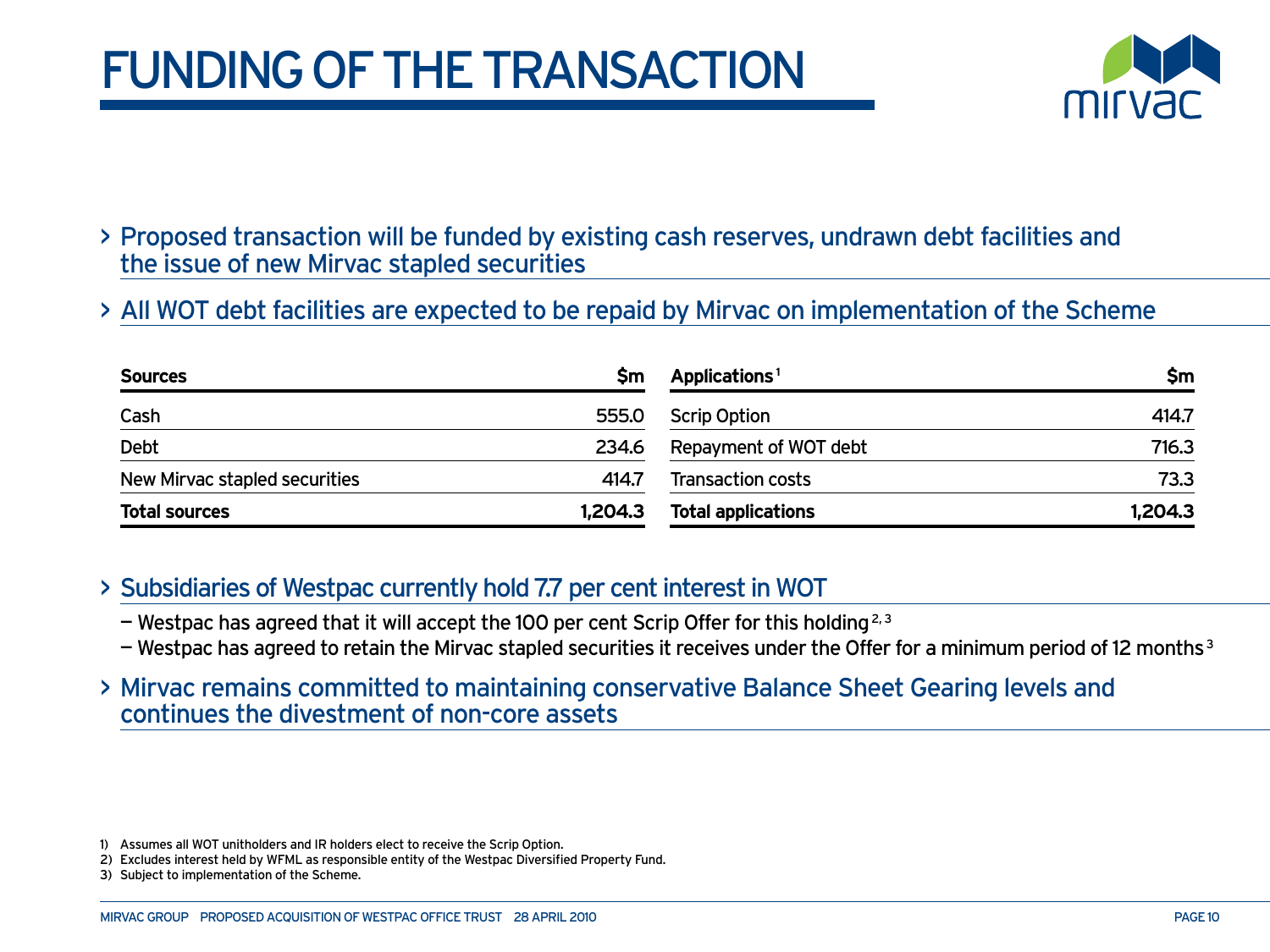## **FUNDING OF THE TRANSACTION**



- > Proposed transaction will be funded by existing cash reserves, undrawn debt facilities and the issue of new Mirvac stapled securities
- > All WOT debt facilities are expected to be repaid by Mirvac on implementation of the Scheme

| <b>Sources</b>                | Sm      | Applications <sup>1</sup> | Şm      |
|-------------------------------|---------|---------------------------|---------|
| Cash                          | 555.0   | <b>Scrip Option</b>       | 414.7   |
| Debt                          | 234.6   | Repayment of WOT debt     | 716.3   |
| New Mirvac stapled securities | 414.7   | <b>Transaction costs</b>  | 73.3    |
| <b>Total sources</b>          | 1,204.3 | <b>Total applications</b> | 1,204.3 |

- > Subsidiaries of Westpac currently hold 7.7 per cent interest in WOT
	- $-$  Westpac has agreed that it will accept the 100 per cent Scrip Offer for this holding<sup>2,3</sup>
	- $-$  Westpac has agreed to retain the Mirvac stapled securities it receives under the Offer for a minimum period of 12 months  $3$
- > Mirvac remains committed to maintaining conservative Balance Sheet Gearing levels and continues the divestment of non-core assets

<sup>1)</sup> Assumes all WOT unitholders and IR holders elect to receive the Scrip Option.

<sup>2)</sup> Excludes interest held by WFML as responsible entity of the Westpac Diversified Property Fund.

<sup>3)</sup> Subject to implementation of the Scheme.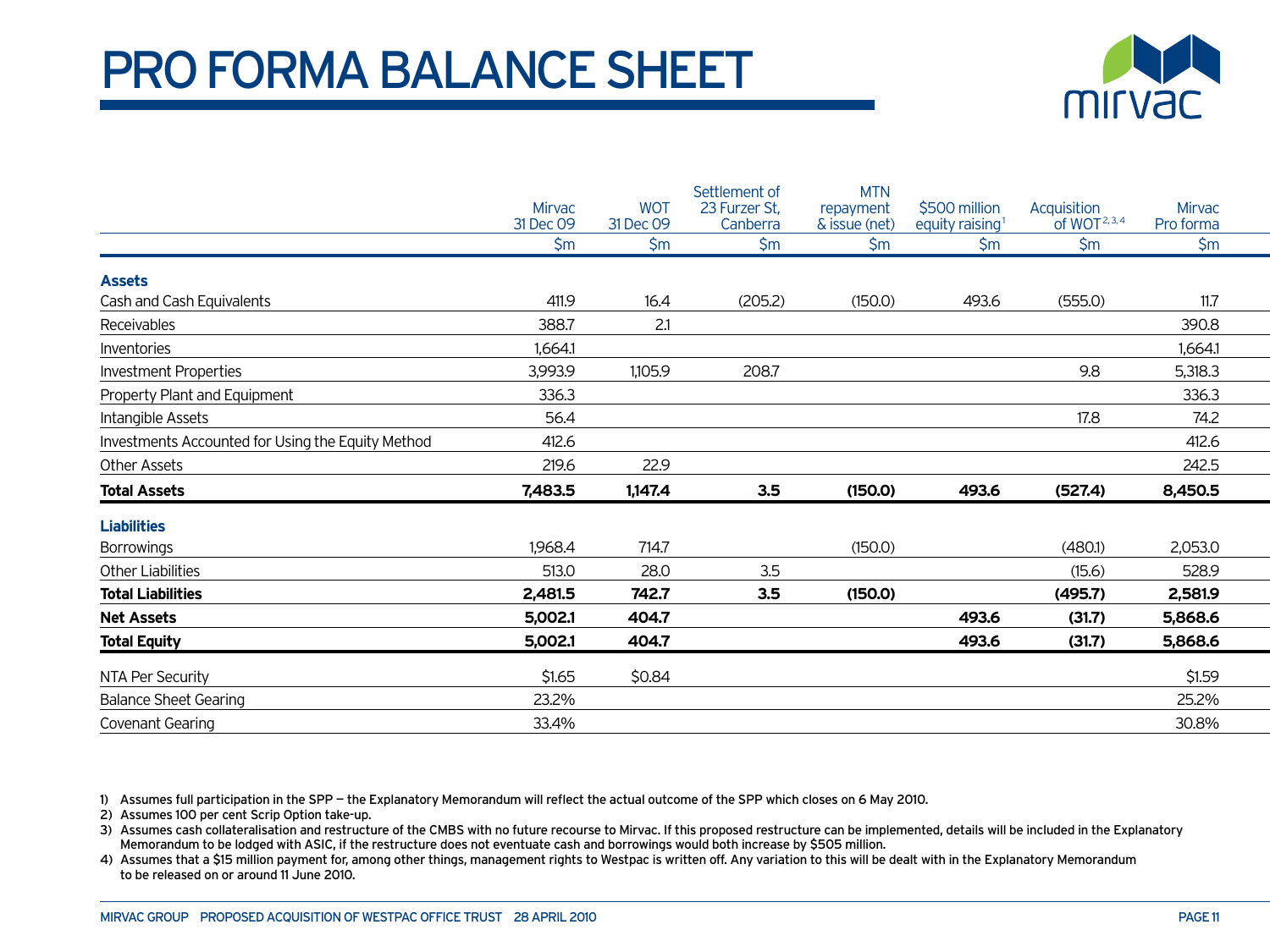## PRO FORMA BALANCE SHEET



|                                                   | <b>Mirvac</b><br>31 Dec 09 | <b>WOT</b><br>31 Dec 09 | Settlement of<br>23 Furzer St.<br>Canberra | <b>MTN</b><br>repayment<br>& issue (net) | \$500 million<br>equity raising <sup>1</sup> | Acquisition<br>of WOT <sup>2, 3, 4</sup> | <b>Mirvac</b><br>Pro forma |  |
|---------------------------------------------------|----------------------------|-------------------------|--------------------------------------------|------------------------------------------|----------------------------------------------|------------------------------------------|----------------------------|--|
|                                                   | $\mathsf{S}$ m             | $\mathsf{S}$ m          | $\mathsf{S}$ m                             | $\mathsf{S}$ m                           | $\mathsf{S}$ m                               | $\mathsf{S}$ m                           | $\mathsf{S}$ m             |  |
| <b>Assets</b>                                     |                            |                         |                                            |                                          |                                              |                                          |                            |  |
| Cash and Cash Equivalents                         | 411.9                      | 16.4                    | (205.2)                                    | (150.0)                                  | 493.6                                        | (555.0)                                  | 11.7                       |  |
| Receivables                                       | 388.7                      | 2.1                     |                                            |                                          |                                              |                                          | 390.8                      |  |
| Inventories                                       | 1.664.1                    |                         |                                            |                                          |                                              |                                          | 1.664.1                    |  |
| <b>Investment Properties</b>                      | 3,993.9                    | 1,105.9                 | 208.7                                      |                                          |                                              | 9.8                                      | 5,318.3                    |  |
| Property Plant and Equipment                      | 336.3                      |                         |                                            |                                          |                                              |                                          | 336.3                      |  |
| Intangible Assets                                 | 56.4                       |                         |                                            |                                          |                                              | 17.8                                     | 74.2                       |  |
| Investments Accounted for Using the Equity Method | 412.6                      |                         |                                            |                                          |                                              |                                          | 412.6                      |  |
| Other Assets                                      | 219.6                      | 22.9                    |                                            |                                          |                                              |                                          | 242.5                      |  |
| <b>Total Assets</b>                               | 7,483.5                    | 1,147.4                 | 3.5                                        | (150.0)                                  | 493.6                                        | (527.4)                                  | 8,450.5                    |  |
| <b>Liabilities</b>                                |                            |                         |                                            |                                          |                                              |                                          |                            |  |
| <b>Borrowings</b>                                 | 1,968.4                    | 714.7                   |                                            | (150.0)                                  |                                              | (480.1)                                  | 2,053.0                    |  |
| <b>Other Liabilities</b>                          | 513.0                      | 28.0                    | 3.5                                        |                                          |                                              | (15.6)                                   | 528.9                      |  |
| <b>Total Liabilities</b>                          | 2,481.5                    | 742.7                   | 3.5                                        | (150.0)                                  |                                              | (495.7)                                  | 2,581.9                    |  |
| <b>Net Assets</b>                                 | 5,002.1                    | 404.7                   |                                            |                                          | 493.6                                        | (31.7)                                   | 5,868.6                    |  |
| <b>Total Equity</b>                               | 5,002.1                    | 404.7                   |                                            |                                          | 493.6                                        | (31.7)                                   | 5,868.6                    |  |
| NTA Per Security                                  | \$1.65                     | \$0.84                  |                                            |                                          |                                              |                                          | \$1.59                     |  |
| <b>Balance Sheet Gearing</b>                      | 23.2%                      |                         |                                            |                                          |                                              |                                          | 25.2%                      |  |
| Covenant Gearing                                  | 33.4%                      |                         |                                            |                                          |                                              |                                          | 30.8%                      |  |

1) Assumes full participation in the SPP — the Explanatory Memorandum will reflect the actual outcome of the SPP which closes on 6 May 2010.

2) Assumes 100 per cent Scrip Option take-up.

3) Assumes cash collateralisation and restructure of the CMBS with no future recourse to Mirvac. If this proposed restructure can be implemented, details will be included in the Explanatory Memorandum to be lodged with ASIC, if the restructure does not eventuate cash and borrowings would both increase by \$505 million.

4) Assumes that a \$15 million payment for, among other things, management rights to Westpac is written off. Any variation to this will be dealt with in the Explanatory Memorandum to be released on or around 11 June 2010.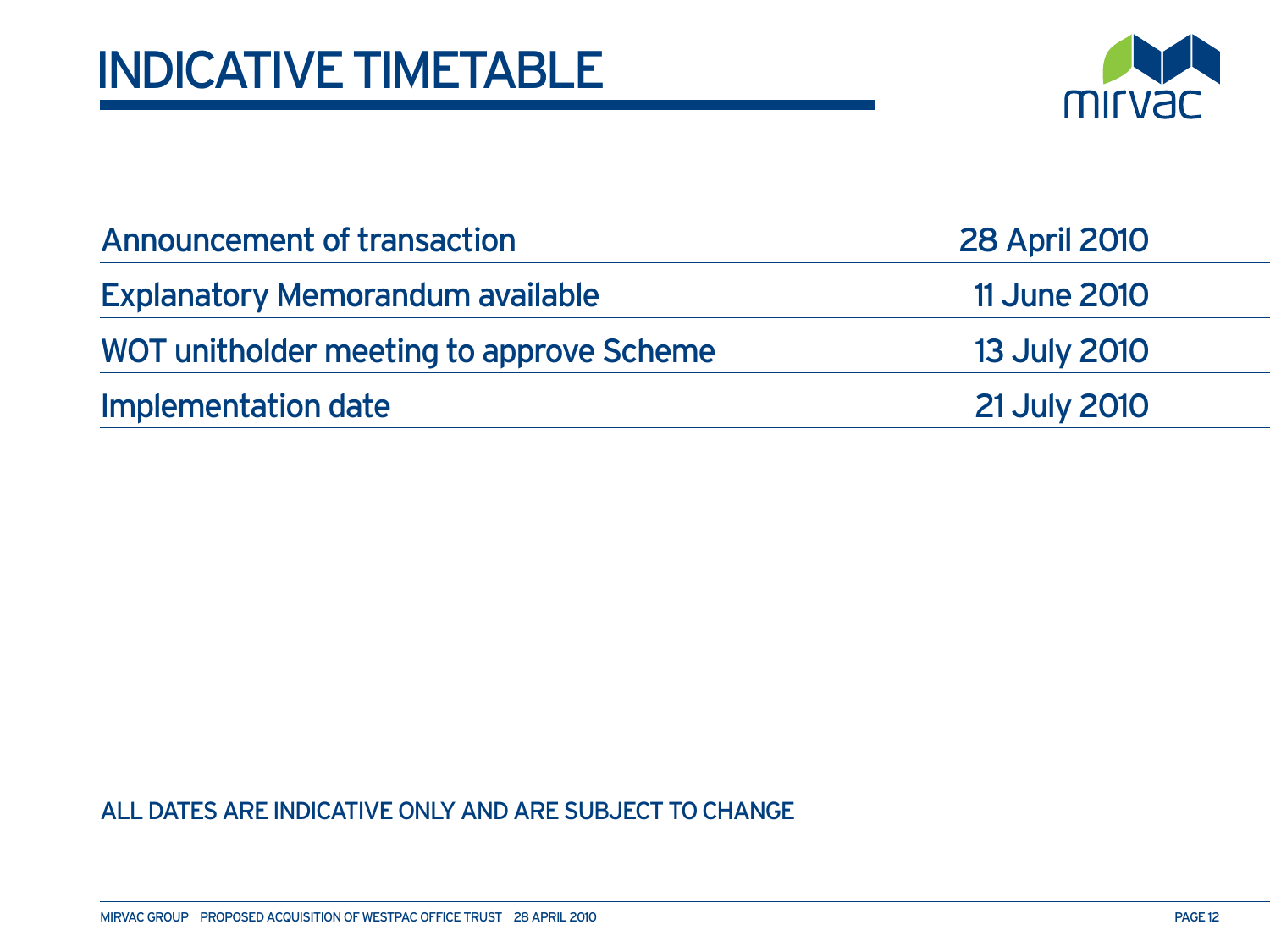

| Announcement of transaction              | <b>28 April 2010</b> |
|------------------------------------------|----------------------|
| <b>Explanatory Memorandum available</b>  | <b>11 June 2010</b>  |
| WOT unitholder meeting to approve Scheme | <b>13 July 2010</b>  |
| Implementation date                      | <b>21 July 2010</b>  |

#### All dates are indicative only and are subject to change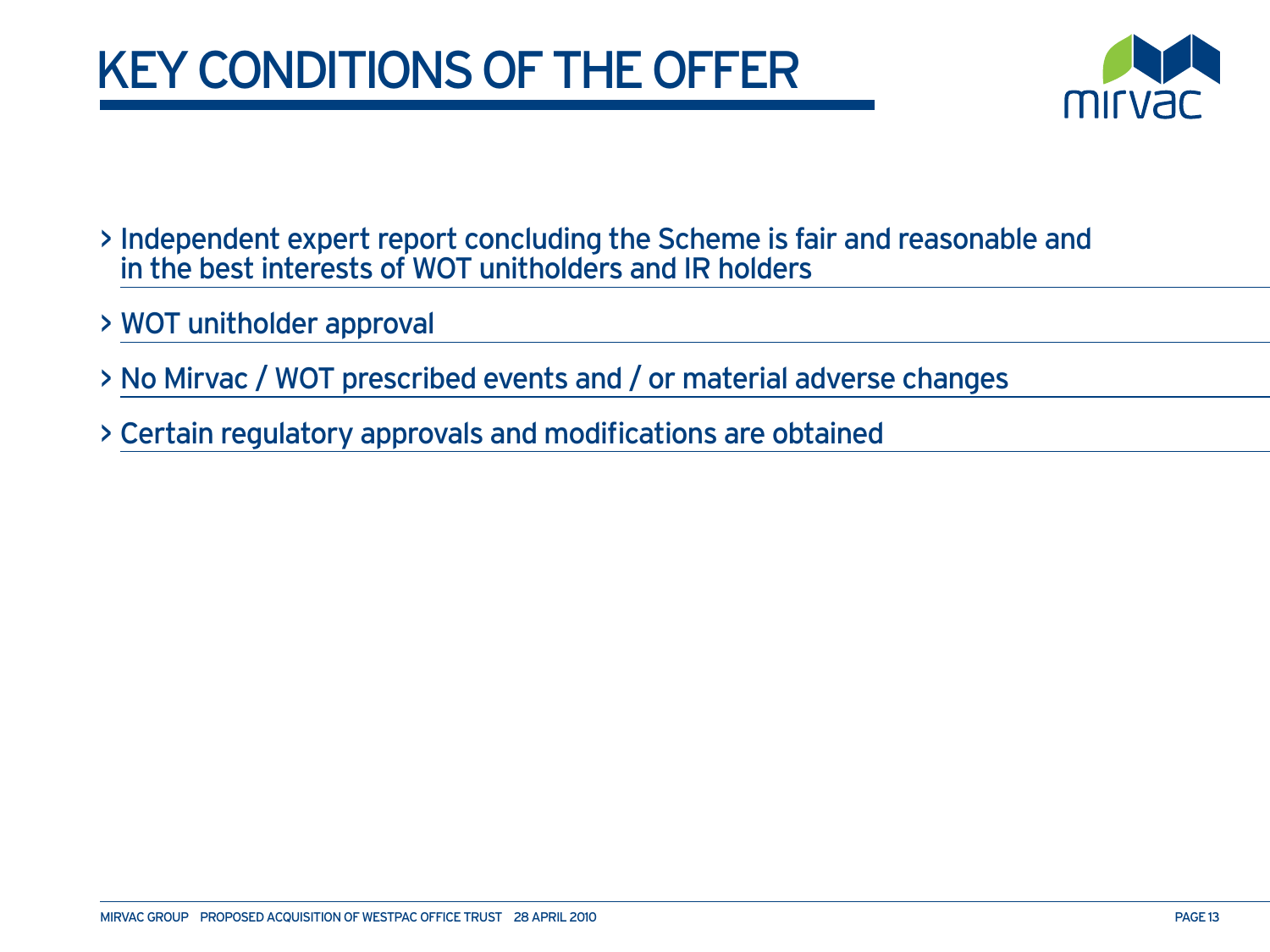# key conditions of the offer



- > Independent expert report concluding the Scheme is fair and reasonable and in the best interests of WOT unitholders and IR holders
- > WOT unitholder approval
- > No Mirvac / WOT prescribed events and / or material adverse changes
- > Certain regulatory approvals and modifications are obtained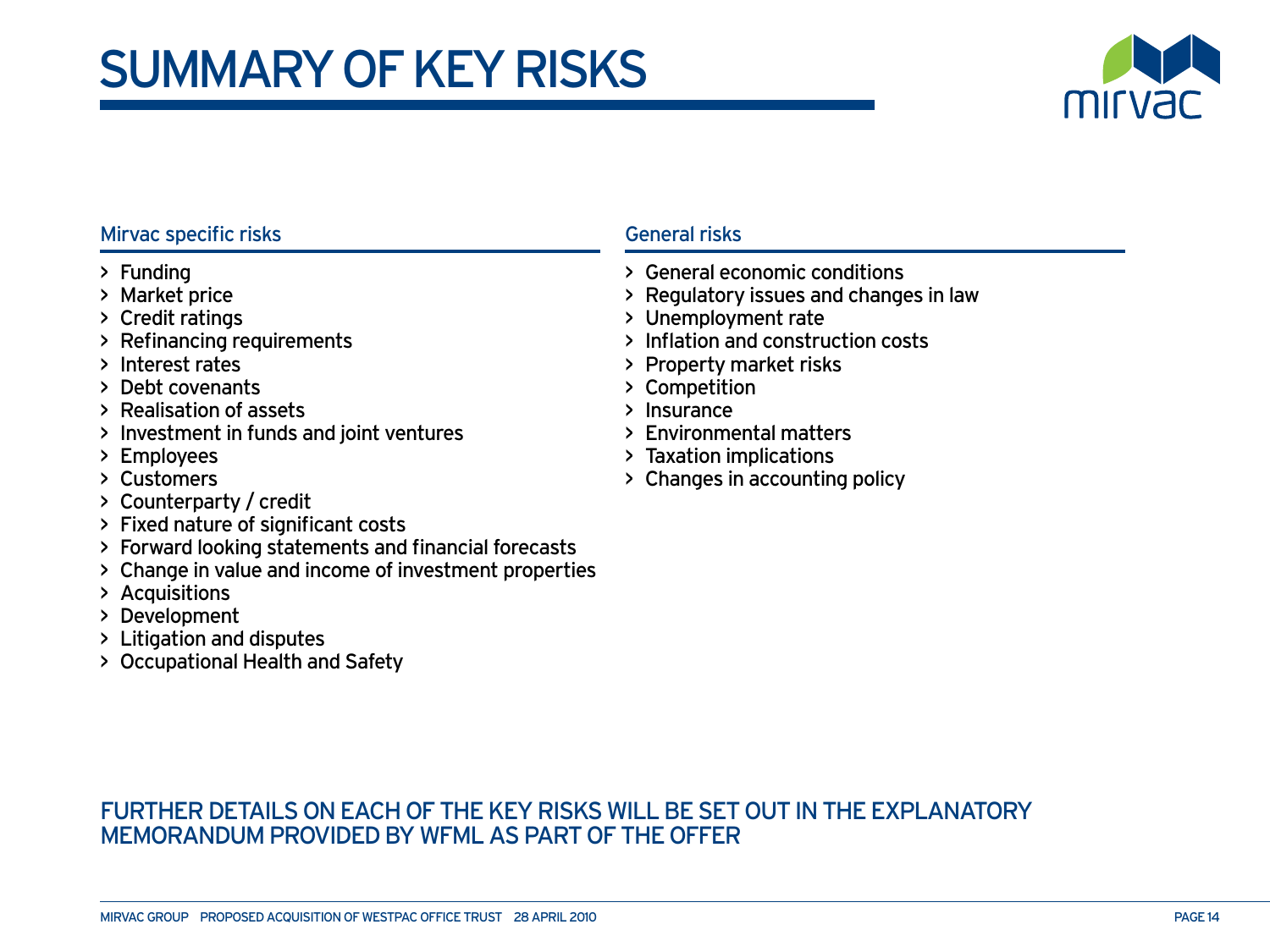## summary of key risks



#### Mirvac specific risks

- > Funding
- > Market price
- > Credit ratings
- > Refinancing requirements
- > Interest rates
- > Debt covenants
- > Realisation of assets
- > Investment in funds and joint ventures
- > Employees
- > Customers
- > Counterparty / credit
- > Fixed nature of significant costs
- > Forward looking statements and financial forecasts
- > Change in value and income of investment properties
- > Acquisitions
- > Development
- > Litigation and disputes
- > Occupational Health and Safety

#### General risks

- > General economic conditions
- > Regulatory issues and changes in law
- > Unemployment rate
- > Inflation and construction costs
- > Property market risks
- > Competition
- > Insurance
- > Environmental matters
- > Taxation implications
- > Changes in accounting policy

#### Further details on each of the key risks will be set out in the Explanatory Memorandum provided by WFML as part of the Offer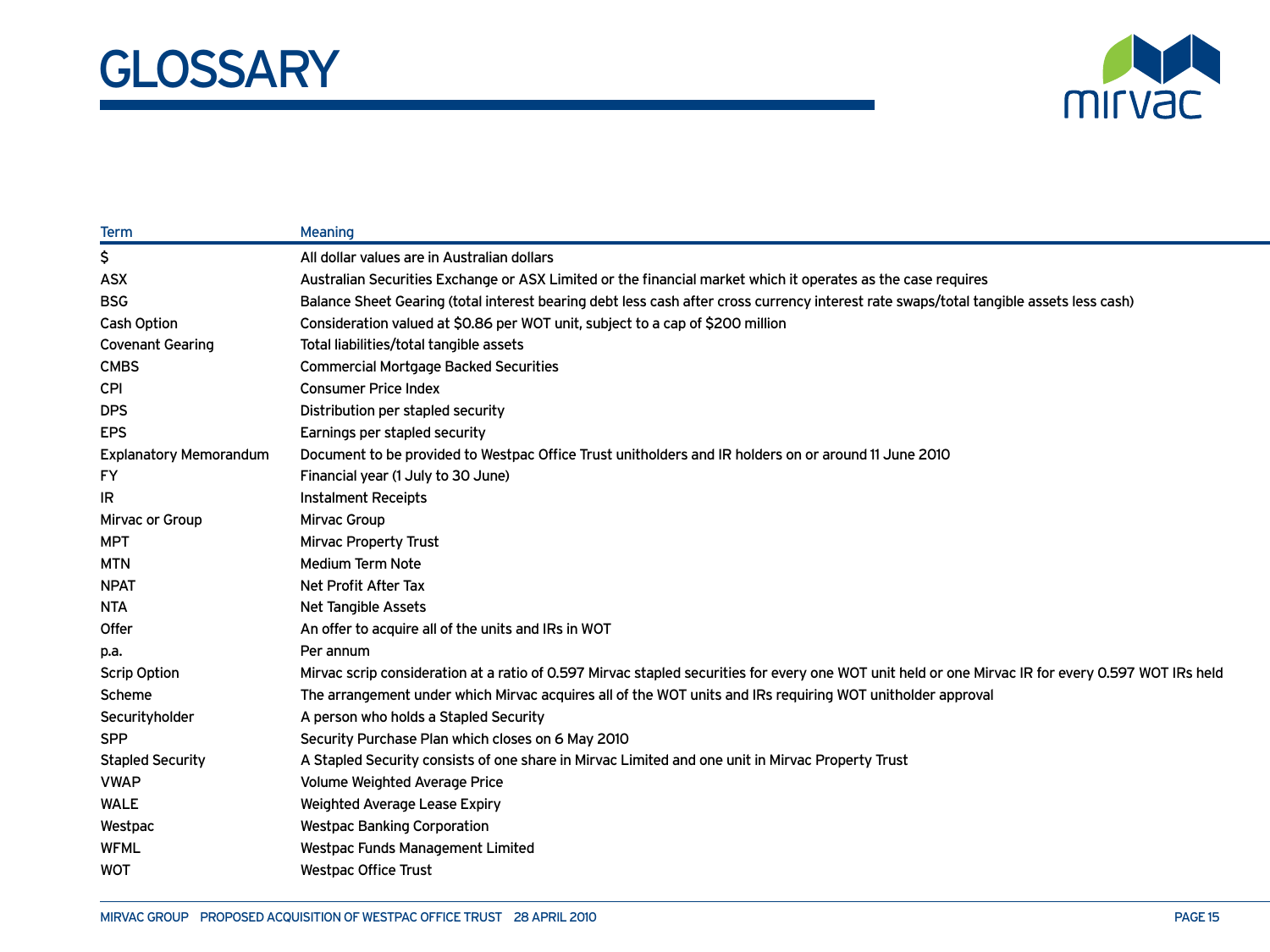



| <b>Term</b>                   | <b>Meaning</b>                                                                                                                                     |
|-------------------------------|----------------------------------------------------------------------------------------------------------------------------------------------------|
| \$                            | All dollar values are in Australian dollars                                                                                                        |
| <b>ASX</b>                    | Australian Securities Exchange or ASX Limited or the financial market which it operates as the case requires                                       |
| <b>BSG</b>                    | Balance Sheet Gearing (total interest bearing debt less cash after cross currency interest rate swaps/total tangible assets less cash)             |
| <b>Cash Option</b>            | Consideration valued at \$0.86 per WOT unit, subject to a cap of \$200 million                                                                     |
| <b>Covenant Gearing</b>       | Total liabilities/total tangible assets                                                                                                            |
| <b>CMBS</b>                   | <b>Commercial Mortgage Backed Securities</b>                                                                                                       |
| <b>CPI</b>                    | <b>Consumer Price Index</b>                                                                                                                        |
| <b>DPS</b>                    | Distribution per stapled security                                                                                                                  |
| <b>EPS</b>                    | Earnings per stapled security                                                                                                                      |
| <b>Explanatory Memorandum</b> | Document to be provided to Westpac Office Trust unitholders and IR holders on or around 11 June 2010                                               |
| FY                            | Financial year (1 July to 30 June)                                                                                                                 |
| IR                            | <b>Instalment Receipts</b>                                                                                                                         |
| Mirvac or Group               | Mirvac Group                                                                                                                                       |
| <b>MPT</b>                    | <b>Mirvac Property Trust</b>                                                                                                                       |
| <b>MTN</b>                    | Medium Term Note                                                                                                                                   |
| <b>NPAT</b>                   | Net Profit After Tax                                                                                                                               |
| <b>NTA</b>                    | Net Tangible Assets                                                                                                                                |
| Offer                         | An offer to acquire all of the units and IRs in WOT                                                                                                |
| p.a.                          | Per annum                                                                                                                                          |
| <b>Scrip Option</b>           | Mirvac scrip consideration at a ratio of 0.597 Mirvac stapled securities for every one WOT unit held or one Mirvac IR for every 0.597 WOT IRs held |
| Scheme                        | The arrangement under which Mirvac acquires all of the WOT units and IRs reguiring WOT unitholder approval                                         |
| Securityholder                | A person who holds a Stapled Security                                                                                                              |
| <b>SPP</b>                    | Security Purchase Plan which closes on 6 May 2010                                                                                                  |
| <b>Stapled Security</b>       | A Stapled Security consists of one share in Mirvac Limited and one unit in Mirvac Property Trust                                                   |
| <b>VWAP</b>                   | Volume Weighted Average Price                                                                                                                      |
| <b>WALE</b>                   | Weighted Average Lease Expiry                                                                                                                      |
| Westpac                       | <b>Westpac Banking Corporation</b>                                                                                                                 |
| <b>WFML</b>                   | <b>Westpac Funds Management Limited</b>                                                                                                            |
| <b>WOT</b>                    | <b>Westpac Office Trust</b>                                                                                                                        |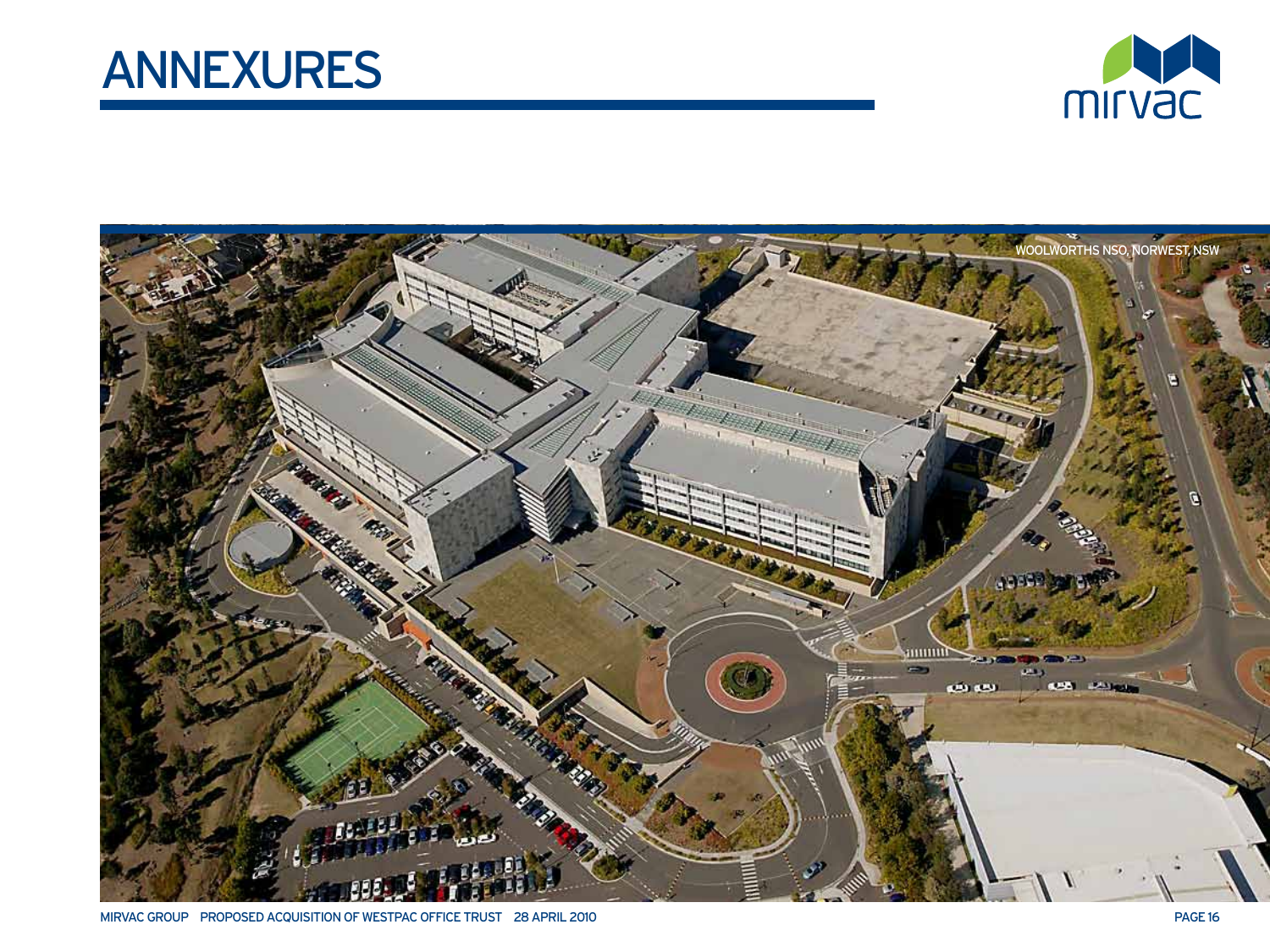





MIRVAC GROUP PROPOSED ACQUISITION OF WESTPAC OFFICE TRUST 28 APRIL 2010 **page 16** and the state of the state of the state 16 and the state 16 and the state 16 and the state 16 and the state 16 and the state 16 and the stat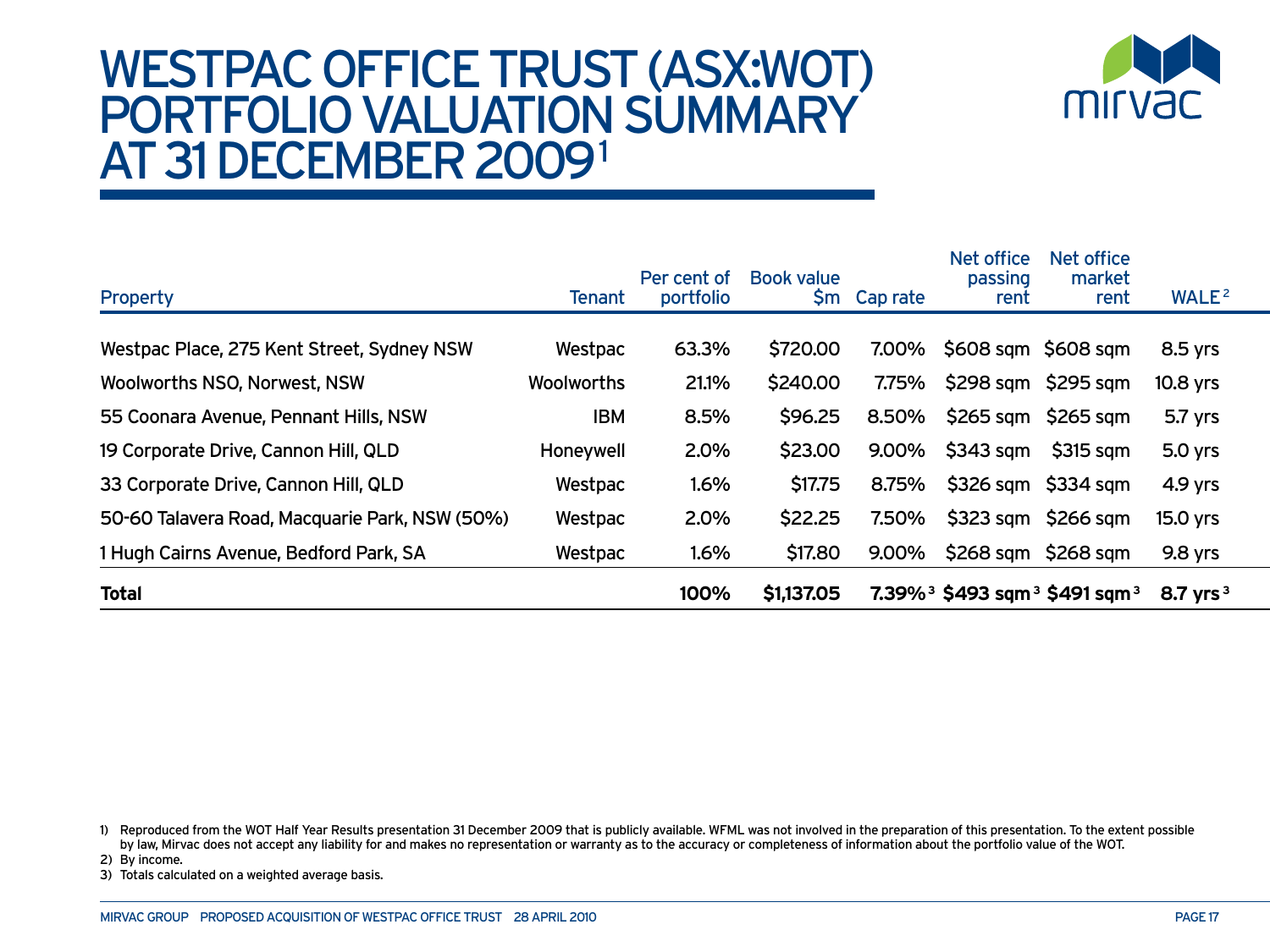### westpac office trust (ASX:WOT) Portfolio valuation summary AT 31 DECEMBER 2009<sup>1</sup>



| <b>Property</b>                                | <b>Tenant</b>     | Per cent of<br>portfolio | <b>Book value</b><br>Şm | Cap rate | Net office<br>passing<br>rent | Net office<br>market<br>rent                                        | WALE <sup>2</sup> |
|------------------------------------------------|-------------------|--------------------------|-------------------------|----------|-------------------------------|---------------------------------------------------------------------|-------------------|
|                                                |                   |                          |                         |          |                               |                                                                     |                   |
| Westpac Place, 275 Kent Street, Sydney NSW     | Westpac           | 63.3%                    | \$720.00                | 7.00%    | \$608 sqm \$608 sqm           |                                                                     | 8.5 yrs           |
| Woolworths NSO, Norwest, NSW                   | <b>Woolworths</b> | 21.1%                    | \$240.00                | 7.75%    |                               | $$298$ sqm $$295$ sqm                                               | 10.8 yrs          |
| 55 Coonara Avenue, Pennant Hills, NSW          | <b>IBM</b>        | 8.5%                     | \$96.25                 | 8.50%    |                               | $$265$ sqm $$265$ sqm                                               | 5.7 yrs           |
| 19 Corporate Drive, Cannon Hill, QLD           | Honeywell         | 2.0%                     | \$23.00                 | 9.00%    | $$343$ sqm                    | \$315 sqm                                                           | 5.0 yrs           |
| 33 Corporate Drive, Cannon Hill, QLD           | Westpac           | 1.6%                     | \$17.75                 | 8.75%    |                               | $$326$ sqm $$334$ sqm                                               | $4.9$ yrs         |
| 50-60 Talavera Road, Macquarie Park, NSW (50%) | Westpac           | 2.0%                     | \$22.25                 | 7.50%    | $$323$ sqm                    | \$266 sqm                                                           | 15.0 yrs          |
| 1 Hugh Cairns Avenue, Bedford Park, SA         | Westpac           | 1.6%                     | \$17.80                 | 9.00%    |                               | $$268$ sqm $$268$ sqm                                               | 9.8 yrs           |
| <b>Total</b>                                   |                   | 100%                     | \$1,137.05              |          |                               | $7.39\%$ <sup>3</sup> \$493 sqm <sup>3</sup> \$491 sqm <sup>3</sup> | 8.7 $Vrs^3$       |

1) Reproduced from the WOT Half Year Results presentation 31 December 2009 that is publicly available. WFML was not involved in the preparation of this presentation. To the extent possible by law, Mirvac does not accept any liability for and makes no representation or warranty as to the accuracy or completeness of information about the portfolio value of the WOT.

2) By income.

3) Totals calculated on a weighted average basis.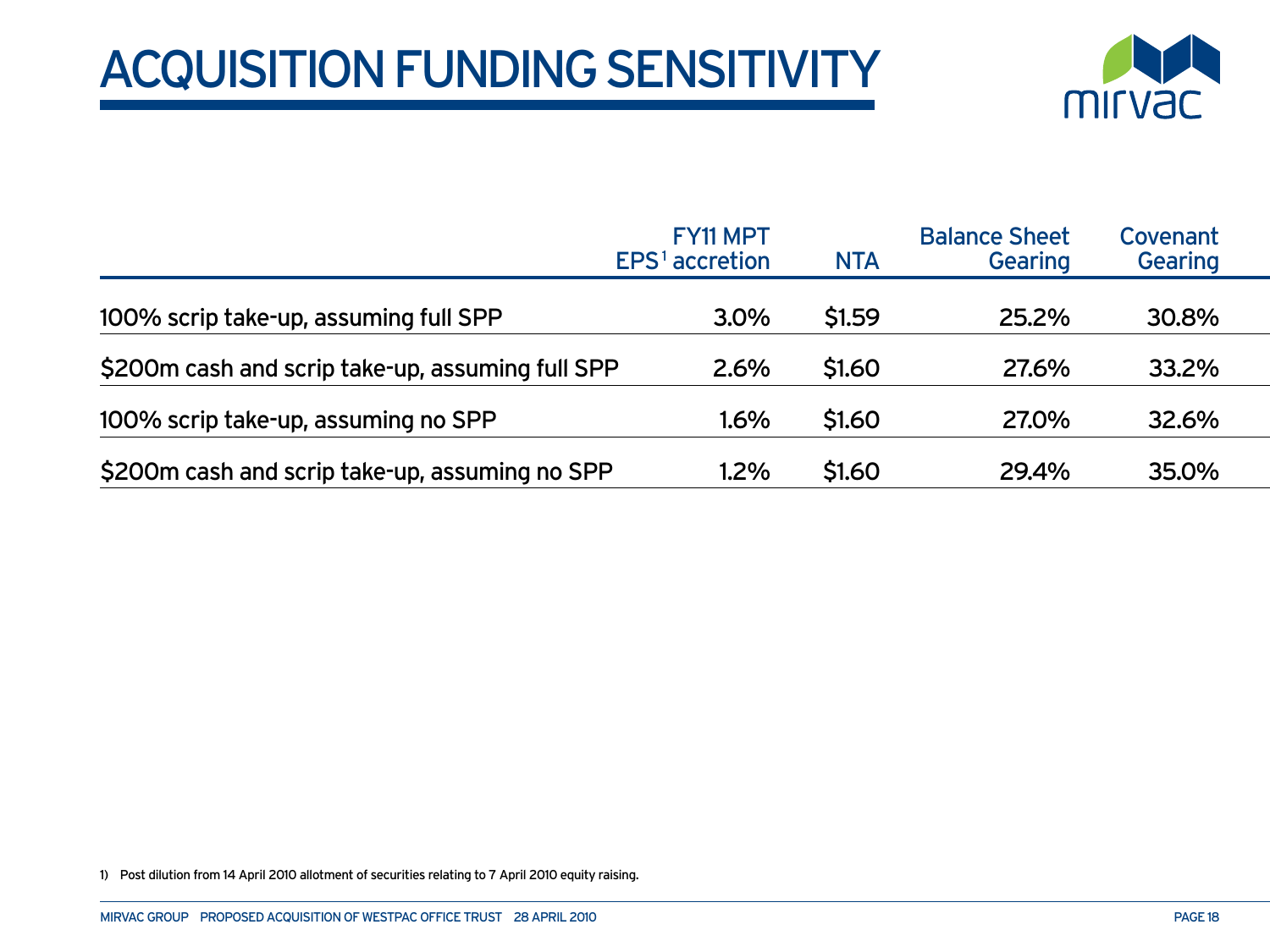## acquisition Funding sensitivity



|                                                  | <b>FY11 MPT</b><br>$EPS1$ accretion | <b>NTA</b> | <b>Balance Sheet</b><br><b>Gearing</b> | Covenant<br><b>Gearing</b> |
|--------------------------------------------------|-------------------------------------|------------|----------------------------------------|----------------------------|
| 100% scrip take-up, assuming full SPP            | 3.0%                                | \$1.59     | 25.2%                                  | 30.8%                      |
| \$200m cash and scrip take-up, assuming full SPP | 2.6%                                | \$1.60     | 27.6%                                  | 33.2%                      |
| 100% scrip take-up, assuming no SPP              | $1.6\%$                             | \$1.60     | 27.0%                                  | 32.6%                      |
| \$200m cash and scrip take-up, assuming no SPP   | 1.2%                                | \$1.60     | 29.4%                                  | 35.0%                      |

1) Post dilution from 14 April 2010 allotment of securities relating to 7 April 2010 equity raising.